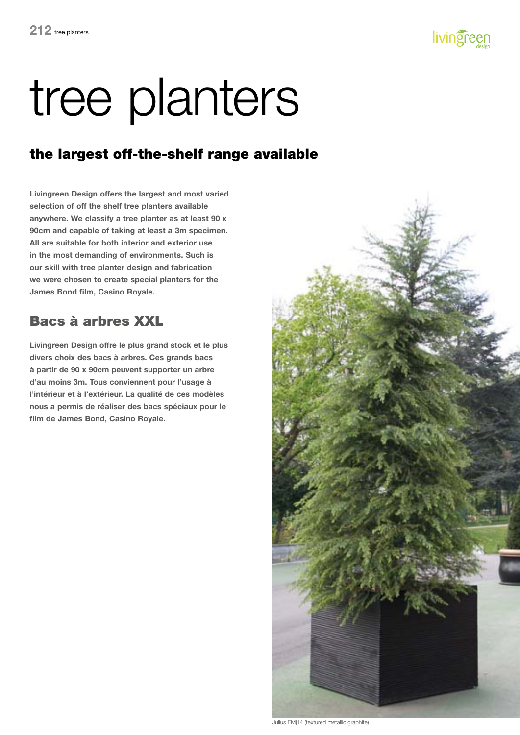

#### the largest off-the-shelf range available

**Livingreen Design offers the largest and most varied selection of off the shelf tree planters available anywhere. We classify a tree planter as at least 90 x 90cm and capable of taking at least a 3m specimen. All are suitable for both interior and exterior use in the most demanding of environments. Such is our skill with tree planter design and fabrication we were chosen to create special planters for the James Bond film, Casino Royale.**

### Bacs à arbres XXL

**Livingreen Design offre le plus grand stock et le plus divers choix des bacs à arbres. Ces grands bacs à partir de 90 x 90cm peuvent supporter un arbre d'au moins 3m. Tous conviennent pour l'usage à l'intérieur et à l'extérieur. La qualité de ces modèles nous a permis de réaliser des bacs spéciaux pour le film de James Bond, Casino Royale.**



Julius EMj14 (textured metallic graphite)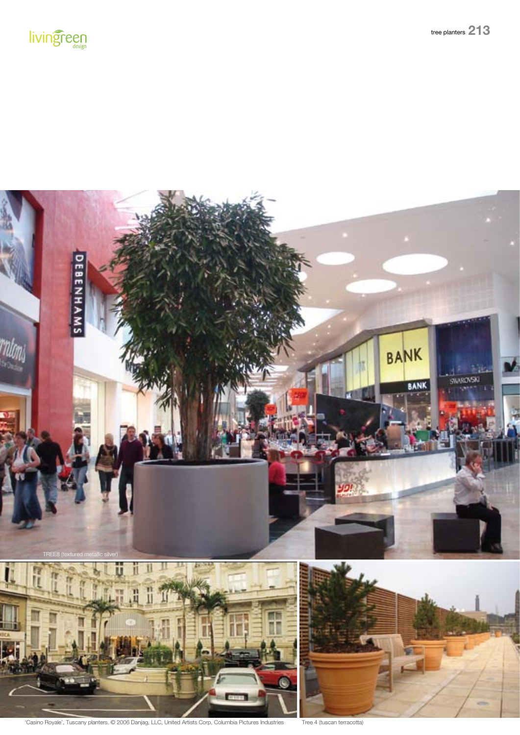



'Casino Royale', Tuscany planters. © 2006 Danjag, LLC, United Artists Corp, Columbia Pictures Industries Tree 4 (tuscan terracotta)

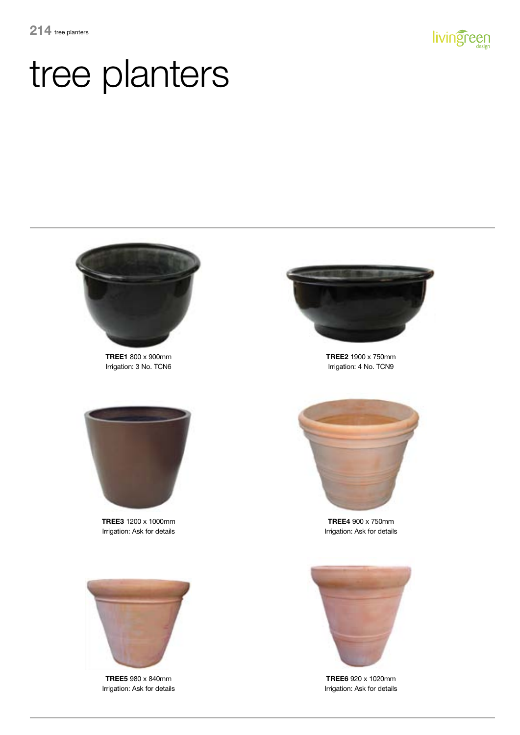



**TREE1** 800 x 900mm Irrigation: 3 No. TCN6



**TREE3** 1200 x 1000mm Irrigation: Ask for details



**TREE2** 1900 x 750mm Irrigation: 4 No. TCN9



**TREE4** 900 x 750mm Irrigation: Ask for details



**TREE5** 980 x 840mm Irrigation: Ask for details



**TREE6** 920 x 1020mm Irrigation: Ask for details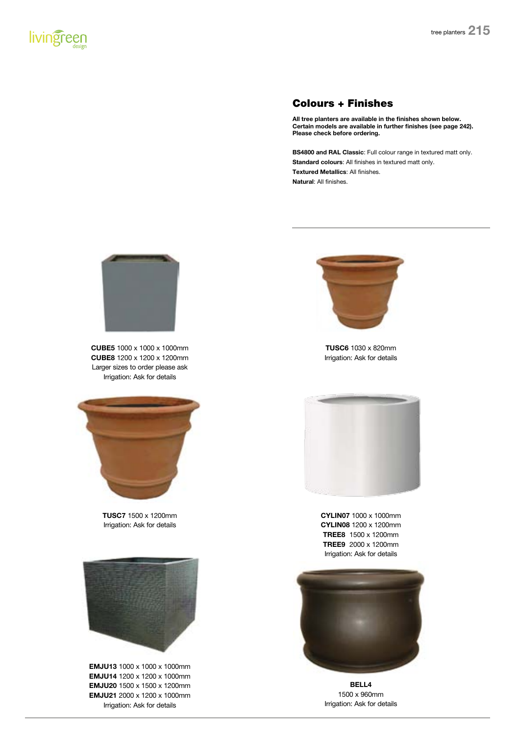#### Colours + Finishes

**All tree planters are available in the finishes shown below. Certain models are available in further finishes (see page 242). Please check before ordering.**

**BS4800 and RAL Classic**: Full colour range in textured matt only. **Standard colours**: All finishes in textured matt only. **Textured Metallics**: All finishes. **Natural**: All finishes.



**CUBE5** 1000 x 1000 x 1000mm **CUBE8** 1200 x 1200 x 1200mm Larger sizes to order please ask Irrigation: Ask for details



**TUSC7** 1500 x 1200mm Irrigation: Ask for details



**EMJU13** 1000 x 1000 x 1000mm **EMJU14** 1200 x 1200 x 1000mm **EMJU20** 1500 x 1500 x 1200mm **EMJU21** 2000 x 1200 x 1000mm Irrigation: Ask for details



**TUSC6** 1030 x 820mm Irrigation: Ask for details



**CYLIN07** 1000 x 1000mm **CYLIN08** 1200 x 1200mm **TREE8** 1500 x 1200mm **TREE9** 2000 x 1200mm Irrigation: Ask for details



**bell4** 1500 x 960mm Irrigation: Ask for details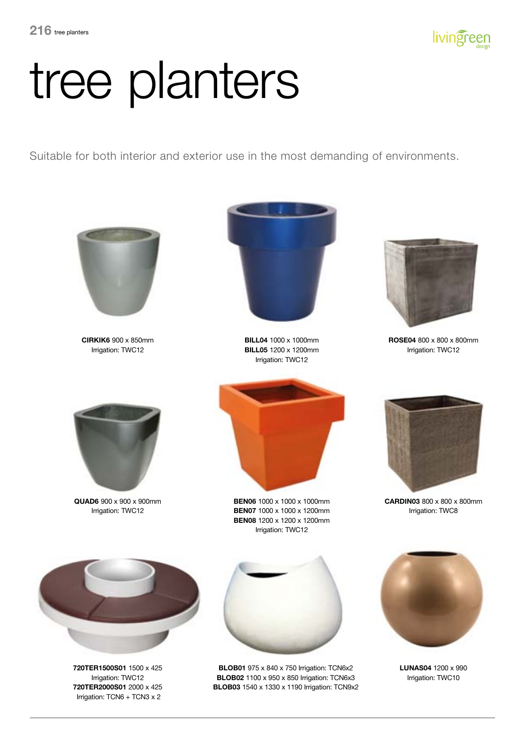

Suitable for both interior and exterior use in the most demanding of environments.



**CIRKIK6** 900 x 850mm Irrigation: TWC12



**BILL04** 1000 x 1000mm **BILL05** 1200 x 1200mm Irrigation: TWC12



**ROSE04** 800 x 800 x 800mm Irrigation: TWC12



**QUAD6** 900 x 900 x 900mm Irrigation: TWC12



**BEN06** 1000 x 1000 x 1000mm **BEN07** 1000 x 1000 x 1200mm **BEN08** 1200 x 1200 x 1200mm Irrigation: TWC12



**CARDIN03** 800 x 800 x 800mm Irrigation: TWC8



**720TER1500S01** 1500 x 425 Irrigation: TWC12 **720TER2000S01** 2000 x 425 Irrigation: TCN6 + TCN3 x 2



**BLOB01** 975 x 840 x 750 Irrigation: TCN6x2 **BLOB02** 1100 x 950 x 850 Irrigation: TCN6x3 **BLOB03** 1540 x 1330 x 1190 Irrigation: TCN9x2



**LUNAS04** 1200 x 990 Irrigation: TWC10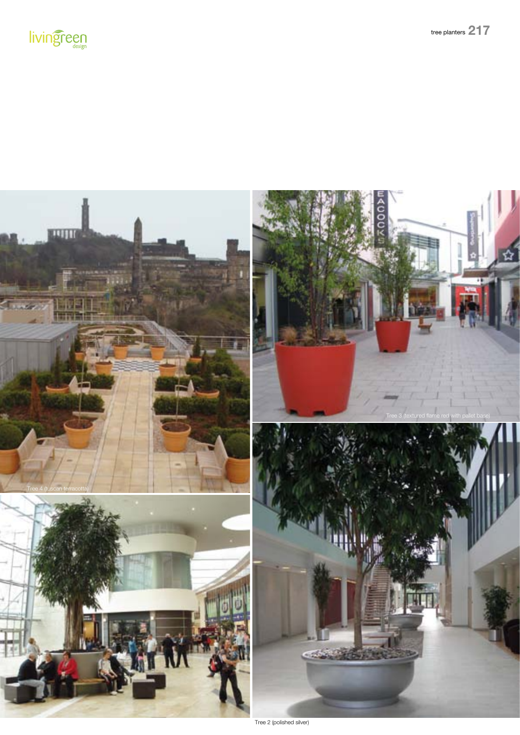